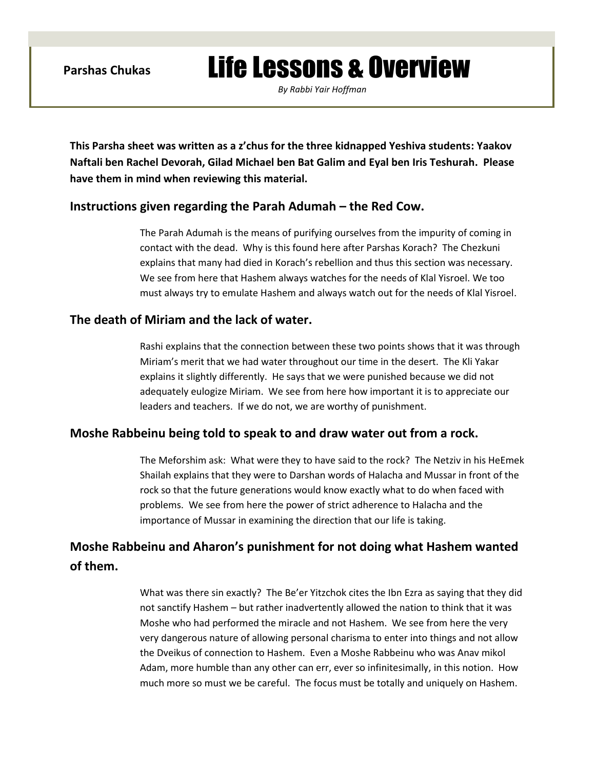# Parshas Chukas **Life Lessons & Overview**

*By Rabbi Yair Hoffman*

**This Parsha sheet was written as a z'chus for the three kidnapped Yeshiva students: Yaakov Naftali ben Rachel Devorah, Gilad Michael ben Bat Galim and Eyal ben Iris Teshurah. Please have them in mind when reviewing this material.** 

## **Instructions given regarding the Parah Adumah – the Red Cow.**

The Parah Adumah is the means of purifying ourselves from the impurity of coming in contact with the dead. Why is this found here after Parshas Korach? The Chezkuni explains that many had died in Korach's rebellion and thus this section was necessary. We see from here that Hashem always watches for the needs of Klal Yisroel. We too must always try to emulate Hashem and always watch out for the needs of Klal Yisroel.

## **The death of Miriam and the lack of water.**

Rashi explains that the connection between these two points shows that it was through Miriam's merit that we had water throughout our time in the desert. The Kli Yakar explains it slightly differently. He says that we were punished because we did not adequately eulogize Miriam. We see from here how important it is to appreciate our leaders and teachers. If we do not, we are worthy of punishment.

### **Moshe Rabbeinu being told to speak to and draw water out from a rock.**

The Meforshim ask: What were they to have said to the rock? The Netziv in his HeEmek Shailah explains that they were to Darshan words of Halacha and Mussar in front of the rock so that the future generations would know exactly what to do when faced with problems. We see from here the power of strict adherence to Halacha and the importance of Mussar in examining the direction that our life is taking.

# **Moshe Rabbeinu and Aharon's punishment for not doing what Hashem wanted of them.**

What was there sin exactly? The Be'er Yitzchok cites the Ibn Ezra as saying that they did not sanctify Hashem – but rather inadvertently allowed the nation to think that it was Moshe who had performed the miracle and not Hashem. We see from here the very very dangerous nature of allowing personal charisma to enter into things and not allow the Dveikus of connection to Hashem. Even a Moshe Rabbeinu who was Anav mikol Adam, more humble than any other can err, ever so infinitesimally, in this notion. How much more so must we be careful. The focus must be totally and uniquely on Hashem.